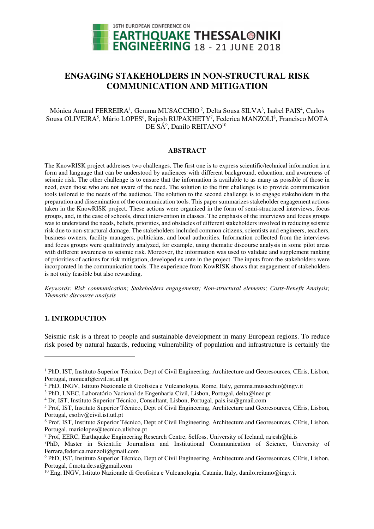

# **ENGAGING STAKEHOLDERS IN NON-STRUCTURAL RISK COMMUNICATION AND MITIGATION**

Mónica Amaral FERREIRA<sup>1</sup>, Gemma MUSACCHIO<sup>2</sup>, Delta Sousa SILVA<sup>3</sup>, Isabel PAIS<sup>4</sup>, Carlos Sousa OLIVEIRA<sup>5</sup>, Mário LOPES<sup>6</sup>, Rajesh RUPAKHETY<sup>7</sup>, Federica MANZOLI<sup>8</sup>, Francisco MOTA DE SÁ $^9$ , Danilo REITANO $^{10}$ 

#### **ABSTRACT**

The KnowRISK project addresses two challenges. The first one is to express scientific/technical information in a form and language that can be understood by audiences with different background, education, and awareness of seismic risk. The other challenge is to ensure that the information is available to as many as possible of those in need, even those who are not aware of the need. The solution to the first challenge is to provide communication tools tailored to the needs of the audience. The solution to the second challenge is to engage stakeholders in the preparation and dissemination of the communication tools. This paper summarizes stakeholder engagement actions taken in the KnowRISK project. These actions were organized in the form of semi-structured interviews, focus groups, and, in the case of schools, direct intervention in classes. The emphasis of the interviews and focus groups was to understand the needs, beliefs, priorities, and obstacles of different stakeholders involved in reducing seismic risk due to non-structural damage. The stakeholders included common citizens, scientists and engineers, teachers, business owners, facility managers, politicians, and local authorities. Information collected from the interviews and focus groups were qualitatively analyzed, for example, using thematic discourse analysis in some pilot areas with different awareness to seismic risk. Moreover, the information was used to validate and supplement ranking of priorities of actions for risk mitigation, developed ex ante in the project. The inputs from the stakeholders were incorporated in the communication tools. The experience from KowRISK shows that engagement of stakeholders is not only feasible but also rewarding.

*Keywords: Risk communication; Stakeholders engagements; Non-structural elements; Costs-Benefit Analysis; Thematic discourse analysis*

#### **1. INTRODUCTION**

l

Seismic risk is a threat to people and sustainable development in many European regions. To reduce risk posed by natural hazards, reducing vulnerability of population and infrastructure is certainly the

<sup>&</sup>lt;sup>1</sup> PhD, IST, Instituto Superior Técnico, Dept of Civil Engineering, Architecture and Georesources, CEris, Lisbon, Portugal, monicaf@civil.ist.utl.pt

<sup>2</sup> PhD, INGV, Istituto Nazionale di Geofisica e Vulcanologia, Rome, Italy, gemma.musacchio@ingv.it

<sup>&</sup>lt;sup>3</sup> PhD, LNEC, Laboratório Nacional de Engenharia Civil, Lisbon, Portugal, delta@lnec.pt

<sup>4</sup> Dr, IST, Instituto Superior Técnico, Consultant, Lisbon, Portugal, pais.isa@gmail.com

<sup>&</sup>lt;sup>5</sup> Prof, IST, Instituto Superior Técnico, Dept of Civil Engineering, Architecture and Georesources, CEris, Lisbon, Portugal, csoliv@civil.ist.utl.pt

<sup>6</sup> Prof, IST, Instituto Superior Técnico, Dept of Civil Engineering, Architecture and Georesources, CEris, Lisbon, Portugal, mariolopes@tecnico.ulisboa.pt

<sup>&</sup>lt;sup>7</sup> Prof, EERC, Earthquake Engineering Research Centre, Selfoss, University of Iceland, rajesh@hi.is

<sup>8</sup>PhD, Master in Scientific Journalism and Institutional Communication of Science, University of Ferrara,federica.manzoli@gmail.com

<sup>&</sup>lt;sup>9</sup> PhD, IST, Instituto Superior Técnico, Dept of Civil Engineering, Architecture and Georesources, CEris, Lisbon, Portugal, f.mota.de.sa@gmail.com

 $10$  Eng, INGV, Istituto Nazionale di Geofisica e Vulcanologia, Catania, Italy, danilo.reitano@ingv.it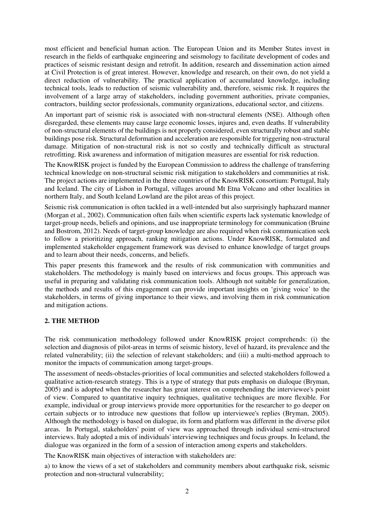most efficient and beneficial human action. The European Union and its Member States invest in research in the fields of earthquake engineering and seismology to facilitate development of codes and practices of seismic resistant design and retrofit. In addition, research and dissemination action aimed at Civil Protection is of great interest. However, knowledge and research, on their own, do not yield a direct reduction of vulnerability. The practical application of accumulated knowledge, including technical tools, leads to reduction of seismic vulnerability and, therefore, seismic risk. It requires the involvement of a large array of stakeholders, including government authorities, private companies, contractors, building sector professionals, community organizations, educational sector, and citizens.

An important part of seismic risk is associated with non-structural elements (NSE). Although often disregarded, these elements may cause large economic losses, injures and, even deaths. If vulnerability of non-structural elements of the buildings is not properly considered, even structurally robust and stable buildings pose risk. Structural deformation and acceleration are responsible for triggering non-structural damage. Mitigation of non-structural risk is not so costly and technically difficult as structural retrofitting. Risk awareness and information of mitigation measures are essential for risk reduction.

The KnowRISK project is funded by the European Commission to address the challenge of transferring technical knowledge on non-structural seismic risk mitigation to stakeholders and communities at risk. The project actions are implemented in the three countries of the KnowRISK consortium: Portugal, Italy and Iceland. The city of Lisbon in Portugal, villages around Mt Etna Volcano and other localities in northern Italy, and South Iceland Lowland are the pilot areas of this project.

Seismic risk communication is often tackled in a well-intended but also surprisingly haphazard manner (Morgan et al., 2002). Communication often fails when scientific experts lack systematic knowledge of target-group needs, beliefs and opinions, and use inappropriate terminology for communication (Bruine and Bostrom, 2012). Needs of target-group knowledge are also required when risk communication seek to follow a prioritizing approach, ranking mitigation actions. Under KnowRISK, formulated and implemented stakeholder engagement framework was devised to enhance knowledge of target groups and to learn about their needs, concerns, and beliefs.

This paper presents this framework and the results of risk communication with communities and stakeholders. The methodology is mainly based on interviews and focus groups. This approach was useful in preparing and validating risk communication tools. Although not suitable for generalization, the methods and results of this engagement can provide important insights on 'giving voice' to the stakeholders, in terms of giving importance to their views, and involving them in risk communication and mitigation actions.

## **2. THE METHOD**

The risk communication methodology followed under KnowRISK project comprehends: (i) the selection and diagnosis of pilot-areas in terms of seismic history, level of hazard, its prevalence and the related vulnerability; (ii) the selection of relevant stakeholders; and (iii) a multi-method approach to monitor the impacts of communication among target-groups.

The assessment of needs-obstacles-priorities of local communities and selected stakeholders followed a qualitative action-research strategy. This is a type of strategy that puts emphasis on dialoque (Bryman, 2005) and is adopted when the researcher has great interest on comprehending the interviewee's point of view. Compared to quantitative inquiry techniques, qualitative techniques are more flexible. For example, individual or group interviews provide more opportunities for the researcher to go deeper on certain subjects or to introduce new questions that follow up interviewee's replies (Bryman, 2005). Although the methodology is based on dialogue, its form and platform was different in the diverse pilot areas. In Portugal, stakeholders' point of view was approached through individual semi-structured interviews. Italy adopted a mix of individuals' interviewing techniques and focus groups. In Iceland, the dialogue was organized in the form of a session of interaction among experts and stakeholders.

The KnowRISK main objectives of interaction with stakeholders are:

a) to know the views of a set of stakeholders and community members about earthquake risk, seismic protection and non-structural vulnerability;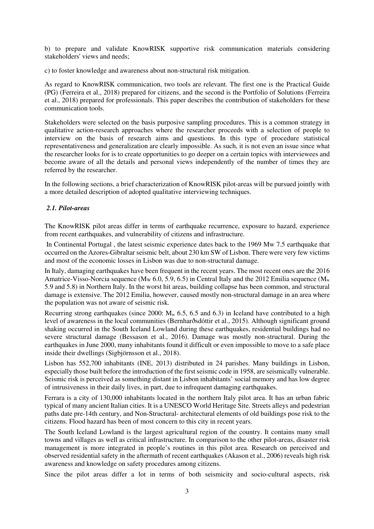b) to prepare and validate KnowRISK supportive risk communication materials considering stakeholders' views and needs;

c) to foster knowledge and awareness about non-structural risk mitigation.

As regard to KnowRISK communication, two tools are relevant. The first one is the Practical Guide (PG) (Ferreira et al., 2018) prepared for citizens, and the second is the Portfolio of Solutions (Ferreira et al., 2018) prepared for professionals. This paper describes the contribution of stakeholders for these communication tools.

Stakeholders were selected on the basis purposive sampling procedures. This is a common strategy in qualitative action-research approaches where the researcher proceeds with a selection of people to interview on the basis of research aims and questions. In this type of procedure statistical representativeness and generalization are clearly impossible. As such, it is not even an issue since what the researcher looks for is to create opportunities to go deeper on a certain topics with interviewees and become aware of all the details and personal views independently of the number of times they are referred by the researcher.

In the following sections, a brief characterization of KnowRISK pilot-areas will be pursued jointly with a more detailed description of adopted qualitative interviewing techniques.

### *2.1. Pilot-areas*

The KnowRISK pilot areas differ in terms of earthquake recurrence, exposure to hazard, experience from recent earthquakes, and vulnerability of citizens and infrastructure.

 In Continental Portugal , the latest seismic experience dates back to the 1969 Mw 7.5 earthquake that occurred on the Azores-Gibraltar seismic belt, about 230 km SW of Lisbon. There were very few victims and most of the economic losses in Lisbon was due to non-structural damage.

In Italy, damaging earthquakes have been frequent in the recent years. The most recent ones are the 2016 Amatrice-Visso-Norcia sequence (M<sub>w</sub> 6.0, 5.9, 6.5) in Central Italy and the 2012 Emilia sequence (M<sub>w</sub> 5.9 and 5.8) in Northern Italy. In the worst hit areas, building collapse has been common, and structural damage is extensive. The 2012 Emilia, however, caused mostly non-structural damage in an area where the population was not aware of seismic risk.

Recurring strong earthquakes (since 2000:  $M_w$  6.5, 6.5 and 6.3) in Iceland have contributed to a high level of awareness in the local communities (Bernharðsdóttir et al., 2015). Although significant ground shaking occurred in the South Iceland Lowland during these earthquakes, residential buildings had no severe structural damage (Bessason et al., 2016). Damage was mostly non-structural. During the earthquakes in June 2000, many inhabitants found it difficult or even impossible to move to a safe place inside their dwellings (Sigbjörnsson et al., 2018).

Lisbon has 552,700 inhabitants (INE, 2013) distributed in 24 parishes. Many buildings in Lisbon, especially those built before the introduction of the first seismic code in 1958, are seismically vulnerable. Seismic risk is perceived as something distant in Lisbon inhabitants' social memory and has low degree of intrusiveness in their daily lives, in part, due to infrequent damaging earthquakes.

Ferrara is a city of 130,000 inhabitants located in the northern Italy pilot area. It has an urban fabric typical of many ancient Italian cities. It is a UNESCO World Heritage Site. Streets alleys and pedestrian paths date pre-14th century, and Non-Structural- architectural elements of old buildings pose risk to the citizens. Flood hazard has been of most concern to this city in recent years.

The South Iceland Lowland is the largest agricultural region of the country. It contains many small towns and villages as well as critical infrastructure. In comparison to the other pilot-areas, disaster risk management is more integrated in people's routines in this pilot area. Research on perceived and observed residential safety in the aftermath of recent earthquakes (Akason et al., 2006) reveals high risk awareness and knowledge on safety procedures among citizens.

Since the pilot areas differ a lot in terms of both seismicity and socio-cultural aspects, risk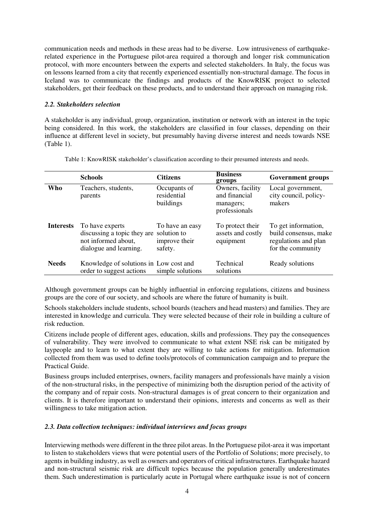communication needs and methods in these areas had to be diverse. Low intrusiveness of earthquakerelated experience in the Portuguese pilot-area required a thorough and longer risk communication protocol, with more encounters between the experts and selected stakeholders. In Italy, the focus was on lessons learned from a city that recently experienced essentially non-structural damage. The focus in Iceland was to communicate the findings and products of the KnowRISK project to selected stakeholders, get their feedback on these products, and to understand their approach on managing risk.

### *2.2. Stakeholders selection*

A stakeholder is any individual, group, organization, institution or network with an interest in the topic being considered. In this work, the stakeholders are classified in four classes, depending on their influence at different level in society, but presumably having diverse interest and needs towards NSE (Table 1).

|                  | <b>Schools</b>                                                                                              | <b>Citizens</b>                             | <b>Business</b><br>groups                                       | <b>Government groups</b>                                                                  |
|------------------|-------------------------------------------------------------------------------------------------------------|---------------------------------------------|-----------------------------------------------------------------|-------------------------------------------------------------------------------------------|
| Who              | Teachers, students,<br>parents                                                                              | Occupants of<br>residential<br>buildings    | Owners, facility<br>and financial<br>managers;<br>professionals | Local government,<br>city council, policy-<br>makers                                      |
| <b>Interests</b> | To have experts<br>discussing a topic they are solution to<br>not informed about,<br>dialogue and learning. | To have an easy<br>improve their<br>safety. | To protect their<br>assets and costly<br>equipment              | To get information,<br>build consensus, make<br>regulations and plan<br>for the community |
| <b>Needs</b>     | Knowledge of solutions in Low cost and<br>order to suggest actions                                          | simple solutions                            | Technical<br>solutions                                          | Ready solutions                                                                           |

Table 1: KnowRISK stakeholder's classification according to their presumed interests and needs.

Although government groups can be highly influential in enforcing regulations, citizens and business groups are the core of our society, and schools are where the future of humanity is built.

Schools stakeholders include students, school boards (teachers and head masters) and families. They are interested in knowledge and curricula. They were selected because of their role in building a culture of risk reduction.

Citizens include people of different ages, education, skills and professions. They pay the consequences of vulnerability. They were involved to communicate to what extent NSE risk can be mitigated by laypeople and to learn to what extent they are willing to take actions for mitigation. Information collected from them was used to define tools/protocols of communication campaign and to prepare the Practical Guide.

Business groups included enterprises, owners, facility managers and professionals have mainly a vision of the non-structural risks, in the perspective of minimizing both the disruption period of the activity of the company and of repair costs. Non-structural damages is of great concern to their organization and clients. It is therefore important to understand their opinions, interests and concerns as well as their willingness to take mitigation action.

### *2.3. Data collection techniques: individual interviews and focus groups*

Interviewing methods were different in the three pilot areas. In the Portuguese pilot-area it was important to listen to stakeholders views that were potential users of the Portfolio of Solutions; more precisely, to agents in building industry, as well as owners and operators of critical infrastructures. Earthquake hazard and non-structural seismic risk are difficult topics because the population generally underestimates them. Such underestimation is particularly acute in Portugal where earthquake issue is not of concern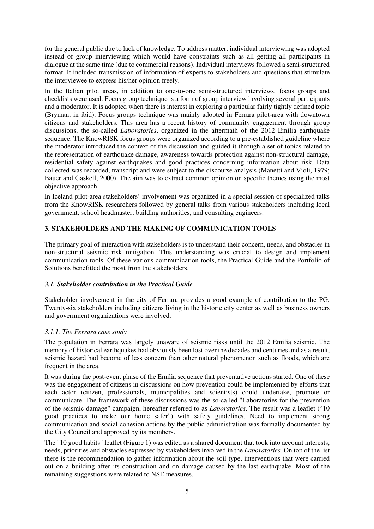for the general public due to lack of knowledge. To address matter, individual interviewing was adopted instead of group interviewing which would have constraints such as all getting all participants in dialogue at the same time (due to commercial reasons). Individual interviews followed a semi-structured format. It included transmission of information of experts to stakeholders and questions that stimulate the interviewee to express his/her opinion freely.

In the Italian pilot areas, in addition to one-to-one semi-structured interviews, focus groups and checklists were used. Focus group technique is a form of group interview involving several participants and a moderator. It is adopted when there is interest in exploring a particular fairly tightly defined topic (Bryman, in ibid). Focus groups technique was mainly adopted in Ferrara pilot-area with downtown citizens and stakeholders. This area has a recent history of community engagement through group discussions, the so-called *Laboratories*, organized in the aftermath of the 2012 Emilia earthquake sequence. The KnowRISK focus groups were organized according to a pre-established guideline where the moderator introduced the context of the discussion and guided it through a set of topics related to the representation of earthquake damage, awareness towards protection against non-structural damage, residential safety against earthquakes and good practices concerning information about risk. Data collected was recorded, transcript and were subject to the discourse analysis (Manetti and Violi, 1979; Bauer and Gaskell, 2000). The aim was to extract common opinion on specific themes using the most objective approach.

In Iceland pilot-area stakeholders' involvement was organized in a special session of specialized talks from the KnowRISK researchers followed by general talks from various stakeholders including local government, school headmaster, building authorities, and consulting engineers.

## **3. STAKEHOLDERS AND THE MAKING OF COMMUNICATION TOOLS**

The primary goal of interaction with stakeholders is to understand their concern, needs, and obstacles in non-structural seismic risk mitigation. This understanding was crucial to design and implement communication tools. Of these various communication tools, the Practical Guide and the Portfolio of Solutions benefitted the most from the stakeholders.

## *3.1. Stakeholder contribution in the Practical Guide*

Stakeholder involvement in the city of Ferrara provides a good example of contribution to the PG. Twenty-six stakeholders including citizens living in the historic city center as well as business owners and government organizations were involved.

## *3.1.1. The Ferrara case study*

The population in Ferrara was largely unaware of seismic risks until the 2012 Emilia seismic. The memory of historical earthquakes had obviously been lost over the decades and centuries and as a result, seismic hazard had become of less concern than other natural phenomenon such as floods, which are frequent in the area.

It was during the post-event phase of the Emilia sequence that preventative actions started. One of these was the engagement of citizens in discussions on how prevention could be implemented by efforts that each actor (citizen, professionals, municipalities and scientists) could undertake, promote or communicate. The framework of these discussions was the so-called "Laboratories for the prevention of the seismic damage" campaign, hereafter referred to as *Laboratories*. The result was a leaflet ("10 good practices to make our home safer") with safety guidelines. Need to implement strong communication and social cohesion actions by the public administration was formally documented by the City Council and approved by its members.

The "10 good habits" leaflet (Figure 1) was edited as a shared document that took into account interests, needs, priorities and obstacles expressed by stakeholders involved in the *Laboratories.* On top of the list there is the recommendation to gather information about the soil type, interventions that were carried out on a building after its construction and on damage caused by the last earthquake. Most of the remaining suggestions were related to NSE measures.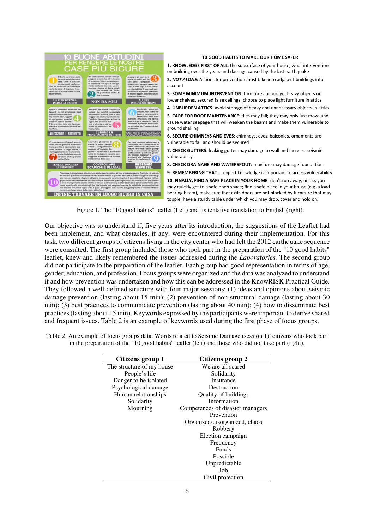

#### **10 GOOD HABITS TO MAKE OUR HOME SAFER**

**1. KNOWLEDGE FIRST OF ALL**: the subsurface of your house, what interventions on building over the years and damage caused by the last earthquake **2.** *NOT ALONE***:** Actions for prevention must take into adjacent buildings into

**3. SOME MINIMUM INTERVENTION**: furniture anchorage, heavy objects on lower shelves, secured false ceilings, choose to place light furniture in attics

**4. UNBURDEN ATTICS:** avoid storage of heavy and unnecessary objects in attics

**5. CARE FOR ROOF MAINTENANCE**: tiles may fall; they may only just move and cause water seepage that will weaken the beams and make them vulnerable to ground shaking

**6. SECURE CHIMNEYS AND EVES**: chimneys, eves, balconies, ornaments are vulnerable to fall and should be secured

**7. CHECK GUTTERS:** leaking gutter may damage to wall and increase seismic vulnerability

**8. CHECK DRAINAGE AND WATERSPOUT:** moisture may damage foundation

**9. REMEMBERING THAT**.... expert knowledge is important to access vulnerability **10. FINALLY, FIND A SAFE PLACE IN YOUR HOME**- don't run away, unless you may quickly get to a safe open space; find a safe place in your house (e.g. a load bearing beam), make sure that exits doors are not blocked by furniture that may

Figure 1. The "10 good habits" leaflet (Left) and its tentative translation to English (right).

Our objective was to understand if, five years after its introduction, the suggestions of the Leaflet had been implement, and what obstacles, if any, were encountered during their implementation. For this task, two different groups of citizens living in the city center who had felt the 2012 earthquake sequence were consulted. The first group included those who took part in the preparation of the "10 good habits" leaflet, knew and likely remembered the issues addressed during the *Laboratories.* The second group did not participate to the preparation of the leaflet. Each group had good representation in terms of age, gender, education, and profession. Focus groups were organized and the data was analyzed to understand if and how prevention was undertaken and how this can be addressed in the KnowRISK Practical Guide. They followed a well-defined structure with four major sessions: (1) ideas and opinions about seismic damage prevention (lasting about 15 min); (2) prevention of non-structural damage (lasting about 30 min); (3) best practices to communicate prevention (lasting about 40 min); (4) how to disseminate best practices (lasting about 15 min). Keywords expressed by the participants were important to derive shared and frequent issues. Table 2 is an example of keywords used during the first phase of focus groups.

Table 2. An example of focus groups data. Words related to Seismic Damage (session 1); citizens who took part in the preparation of the "10 good habits" leaflet (left) and those who did not take part (right).

| Citizens group 1          | Citizens group 2                 |  |  |
|---------------------------|----------------------------------|--|--|
| The structure of my house | We are all scared                |  |  |
| People's life             | Solidarity                       |  |  |
| Danger to be isolated     | Insurance                        |  |  |
| Psychological damage      | Destruction                      |  |  |
| Human relationships       | Quality of buildings             |  |  |
| Solidarity                | Information                      |  |  |
| Mourning                  | Competences of disaster managers |  |  |
|                           | Prevention                       |  |  |
|                           | Organized/disorganized, chaos    |  |  |
|                           | Robbery                          |  |  |
|                           | Election campaign                |  |  |
|                           | Frequency                        |  |  |
|                           | <b>Funds</b>                     |  |  |
|                           | Possible                         |  |  |
|                           | Unpredictable                    |  |  |
|                           | Job                              |  |  |
|                           | Civil protection                 |  |  |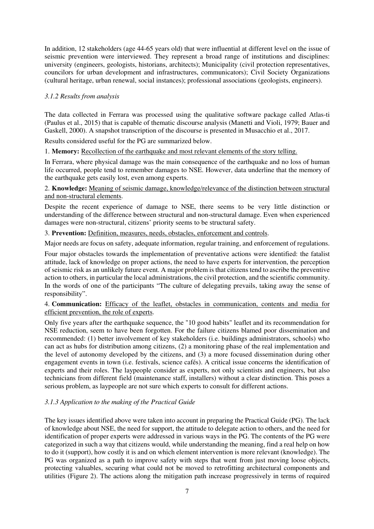In addition, 12 stakeholders (age 44-65 years old) that were influential at different level on the issue of seismic prevention were interviewed. They represent a broad range of institutions and disciplines: university (engineers, geologists, historians, architects); Municipality (civil protection representatives, councilors for urban development and infrastructures, communicators); Civil Society Organizations (cultural heritage, urban renewal, social instances); professional associations (geologists, engineers).

## *3.1.2 Results from analysis*

The data collected in Ferrara was processed using the qualitative software package called Atlas-ti (Paulus et al., 2015) that is capable of thematic discourse analysis (Manetti and Violi, 1979; Bauer and Gaskell, 2000). A snapshot transcription of the discourse is presented in Musacchio et al., 2017.

Results considered useful for the PG are summarized below.

1. **Memory:** Recollection of the earthquake and most relevant elements of the story telling.

In Ferrara, where physical damage was the main consequence of the earthquake and no loss of human life occurred, people tend to remember damages to NSE. However, data underline that the memory of the earthquake gets easily lost, even among experts.

### 2. **Knowledge:** Meaning of seismic damage, knowledge/relevance of the distinction between structural and non-structural elements.

Despite the recent experience of damage to NSE, there seems to be very little distinction or understanding of the difference between structural and non-structural damage. Even when experienced damages were non-structural, citizens' priority seems to be structural safety.

3. **Prevention:** Definition, measures, needs, obstacles, enforcement and controls.

Major needs are focus on safety, adequate information, regular training, and enforcement of regulations.

Four major obstacles towards the implementation of preventative actions were identified: the fatalist attitude, lack of knowledge on proper actions, the need to have experts for intervention, the perception of seismic risk as an unlikely future event. A major problem is that citizens tend to ascribe the preventive action to others, in particular the local administrations, the civil protection, and the scientific community. In the words of one of the participants "The culture of delegating prevails, taking away the sense of responsibility".

### 4. **Communication:** Efficacy of the leaflet, obstacles in communication, contents and media for efficient prevention, the role of experts.

Only five years after the earthquake sequence, the "10 good habits" leaflet and its recommendation for NSE reduction, seem to have been forgotten. For the failure citizens blamed poor dissemination and recommended: (1) better involvement of key stakeholders (i.e. buildings administrators, schools) who can act as hubs for distribution among citizens, (2) a monitoring phase of the real implementation and the level of autonomy developed by the citizens, and (3) a more focused dissemination during other engagement events in town (i.e. festivals, science cafés). A critical issue concerns the identification of experts and their roles. The laypeople consider as experts, not only scientists and engineers, but also technicians from different field (maintenance staff, installers) without a clear distinction. This poses a serious problem, as laypeople are not sure which experts to consult for different actions.

## *3.1.3 Application to the making of the Practical Guide*

The key issues identified above were taken into account in preparing the Practical Guide (PG). The lack of knowledge about NSE, the need for support, the attitude to delegate action to others, and the need for identification of proper experts were addressed in various ways in the PG. The contents of the PG were categorized in such a way that citizens would, while understanding the meaning, find a real help on how to do it (support), how costly it is and on which element intervention is more relevant (knowledge). The PG was organized as a path to improve safety with steps that went from just moving loose objects, protecting valuables, securing what could not be moved to retrofitting architectural components and utilities (Figure 2). The actions along the mitigation path increase progressively in terms of required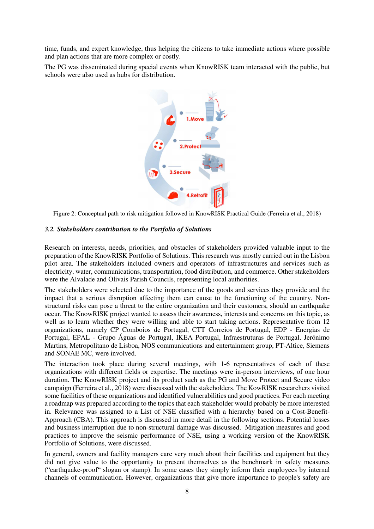time, funds, and expert knowledge, thus helping the citizens to take immediate actions where possible and plan actions that are more complex or costly.

The PG was disseminated during special events when KnowRISK team interacted with the public, but schools were also used as hubs for distribution.



Figure 2: Conceptual path to risk mitigation followed in KnowRISK Practical Guide (Ferreira et al., 2018)

### *3.2. Stakeholders contribution to the Portfolio of Solutions*

Research on interests, needs, priorities, and obstacles of stakeholders provided valuable input to the preparation of the KnowRISK Portfolio of Solutions. This research was mostly carried out in the Lisbon pilot area. The stakeholders included owners and operators of infrastructures and services such as electricity, water, communications, transportation, food distribution, and commerce. Other stakeholders were the Alvalade and Olivais Parish Councils, representing local authorities.

The stakeholders were selected due to the importance of the goods and services they provide and the impact that a serious disruption affecting them can cause to the functioning of the country. Nonstructural risks can pose a threat to the entire organization and their customers, should an earthquake occur. The KnowRISK project wanted to assess their awareness, interests and concerns on this topic, as well as to learn whether they were willing and able to start taking actions. Representative from 12 organizations, namely CP Comboios de Portugal, CTT Correios de Portugal, EDP - Energias de Portugal, EPAL - Grupo Águas de Portugal, IKEA Portugal, Infraestruturas de Portugal, Jerónimo Martins, Metropolitano de Lisboa, NOS communications and entertainment group, PT-Altice, Siemens and SONAE MC, were involved.

The interaction took place during several meetings, with 1-6 representatives of each of these organizations with different fields or expertise. The meetings were in-person interviews, of one hour duration. The KnowRISK project and its product such as the PG and Move Protect and Secure video campaign (Ferreira et al., 2018) were discussed with the stakeholders. The KowRISK researchers visited some facilities of these organizations and identified vulnerabilities and good practices. For each meeting a roadmap was prepared according to the topics that each stakeholder would probably be more interested in. Relevance was assigned to a List of NSE classified with a hierarchy based on a Cost-Benefit-Approach (CBA). This approach is discussed in more detail in the following sections. Potential losses and business interruption due to non-structural damage was discussed. Mitigation measures and good practices to improve the seismic performance of NSE, using a working version of the KnowRISK Portfolio of Solutions, were discussed.

In general, owners and facility managers care very much about their facilities and equipment but they did not give value to the opportunity to present themselves as the benchmark in safety measures ("earthquake-proof" slogan or stamp). In some cases they simply inform their employees by internal channels of communication. However, organizations that give more importance to people's safety are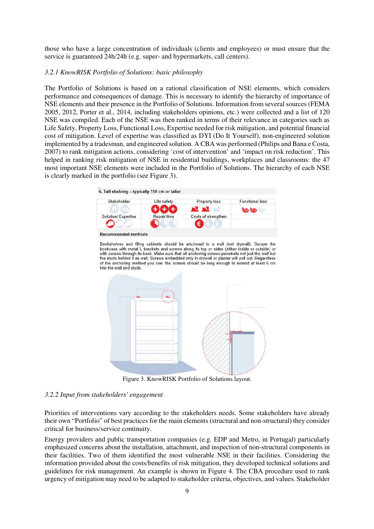those who have a large concentration of individuals (clients and employees) or must ensure that the service is guaranteed 24h/24h (e.g. super- and hypermarkets, call centers).

#### *3.2.1 KnowRISK Portfolio of Solutions: basic philosophy*

The Portfolio of Solutions is based on a rational classification of NSE elements, which considers performance and consequences of damage. This is necessary to identify the hierarchy of importance of NSE elements and their presence in the Portfolio of Solutions. Information from several sources (FEMA 2005, 2012, Porter et al., 2014, including stakeholders opinions, etc.) were collected and a list of 120 NSE was compiled. Each of the NSE was then ranked in terms of their relevance in categories such as Life Safety, Property Loss, Functional Loss, Expertise needed for risk mitigation, and potential financial cost of mitigation. Level of expertise was classified as DYI (Do It Yourself), non-engineered solution implemented by a tradesman, and engineered solution. A CBA was performed (Philips and Bana e Costa, 2007) to rank mitigation actions, considering 'cost of intervention' and 'impact on risk reduction'. This helped in ranking risk mitigation of NSE in residential buildings, workplaces and classrooms: the 47 most important NSE elements were included in the Portfolio of Solutions. The hierarchy of each NSE is clearly marked in the portfolio (see Figure 3).

6. Tall shelving - typically 150 cm or taller



**Recommended methods** 

Bookshelves and filing cabinets should be anchored to a wall (not drywall). Secure the bookcase with metal L brackets and screws along its top or sides (either inside or outside) or with screws through its back. Make sure that all anchoring screws penetrate not just the wall but the studs behind it as well. Screws embedded only in drywall or plaster will pull out. Regardless of the anchoring method you use, the screws should be long enough to extend at least 5 cm into the wall and studs



Figure 3. KnowRISK Portfolio of Solutions layout.

#### *3.2.2 Input from stakeholders' engagement*

Priorities of interventions vary according to the stakeholders needs. Some stakeholders have already their own "Portfolio" of best practices for the main elements (structural and non-structural) they consider critical for business/service continuity.

Energy providers and public transportation companies (e.g. EDP and Metro, in Portugal) particularly emphasized concerns about the installation, attachment, and inspection of non-structural components in their facilities. Two of them identified the most vulnerable NSE in their facilities. Considering the information provided about the costs/benefits of risk mitigation, they developed technical solutions and guidelines for risk management. An example is shown in Figure 4. The CBA procedure used to rank urgency of mitigation may need to be adapted to stakeholder criteria, objectives, and values. Stakeholder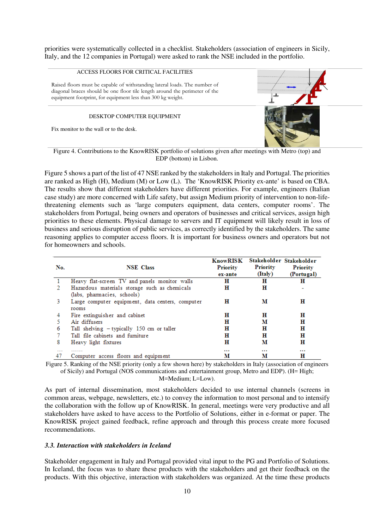priorities were systematically collected in a checklist. Stakeholders (association of engineers in Sicily, Italy, and the 12 companies in Portugal) were asked to rank the NSE included in the portfolio.

#### ACCESS FLOORS FOR CRITICAL FACILITIES

Raised floors must be capable of withstanding lateral loads. The number of diagonal braces should be one floor tile length around the perimeter of the equipment footprint, for equipment less than 300 kg weight.

#### DESKTOP COMPUTER EQUIPMENT

Fix monitor to the wall or to the desk.



Figure 4. Contributions to the KnowRISK portfolio of solutions given after meetings with Metro (top) and EDP (bottom) in Lisbon.

Figure 5 shows a part of the list of 47 NSE ranked by the stakeholders in Italy and Portugal. The priorities are ranked as High (H), Medium (M) or Low (L). The 'KnowRISK Priority ex-ante' is based on CBA. The results show that different stakeholders have different priorities. For example, engineers (Italian case study) are more concerned with Life safety, but assign Medium priority of intervention to non-lifethreatening elements such as 'large computers equipment, data centers, computer rooms'. The stakeholders from Portugal, being owners and operators of businesses and critical services, assign high priorities to these elements. Physical damage to servers and IT equipment will likely result in loss of business and serious disruption of public services, as correctly identified by the stakeholders. The same reasoning applies to computer access floors. It is important for business owners and operators but not for homeowners and schools.

| No. | <b>NSE</b> Class                                                                         | <b>KnowRISK</b><br>Priority<br>ex-ante | Priority<br>(Italy) | Stakeholder Stakeholder<br>Priority<br>(Portugal) |
|-----|------------------------------------------------------------------------------------------|----------------------------------------|---------------------|---------------------------------------------------|
|     | Heavy flat-screen TV and panels monitor walls                                            | н                                      | н                   | н                                                 |
|     | Hazardous materials storage such as chemicals                                            | н                                      | н                   |                                                   |
| 3.  | (labs, pharmacies, schools)<br>Large computer equipment, data centers, computer<br>rooms | н                                      | м                   | н                                                 |
|     | Fire extinguisher and cabinet                                                            | н                                      | н                   | н                                                 |
|     | Air diffusers                                                                            | н                                      | м                   | н                                                 |
| 6   | Tall shelving $-$ typically 150 cm or taller                                             | н                                      | н                   | н                                                 |
|     | Tall file cabinets and furniture                                                         | н                                      | н                   | н                                                 |
| 8   | Heavy light fixtures                                                                     | н                                      | м                   | н                                                 |
| 47  | .<br>Computer access floors and equipment                                                | <br>м                                  | <br>м               | <br>н                                             |

Figure 5. Ranking of the NSE priority (only a few shown here) by stakeholders in Italy (association of engineers of Sicily) and Portugal (NOS communications and entertainment group, Metro and EDP). (H= High; M=Medium; L=Low).

As part of internal dissemination, most stakeholders decided to use internal channels (screens in common areas, webpage, newsletters, etc.) to convey the information to most personal and to intensify the collaboration with the follow up of KnowRISK. In general, meetings were very productive and all stakeholders have asked to have access to the Portfolio of Solutions, either in e-format or paper. The KnowRISK project gained feedback, refine approach and through this process create more focused recommendations.

### *3.3. Interaction with stakeholders in Iceland*

Stakeholder engagement in Italy and Portugal provided vital input to the PG and Portfolio of Solutions. In Iceland, the focus was to share these products with the stakeholders and get their feedback on the products. With this objective, interaction with stakeholders was organized. At the time these products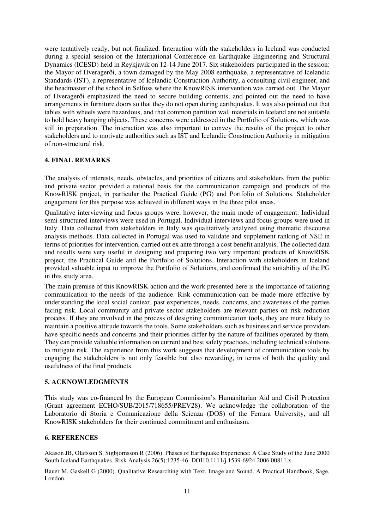were tentatively ready, but not finalized. Interaction with the stakeholders in Iceland was conducted during a special session of the International Conference on Earthquake Engineering and Structural Dynamics (ICESD) held in Reykjavik on 12-14 June 2017. Six stakeholders participated in the session: the Mayor of Hveragerði, a town damaged by the May 2008 earthquake, a representative of Icelandic Standards (IST), a representative of Icelandic Construction Authority, a consulting civil engineer, and the headmaster of the school in Selfoss where the KnowRISK intervention was carried out. The Mayor of Hveragerði emphasized the need to secure building contents, and pointed out the need to have arrangements in furniture doors so that they do not open during earthquakes. It was also pointed out that tables with wheels were hazardous, and that common partition wall materials in Iceland are not suitable to hold heavy hanging objects. These concerns were addressed in the Portfolio of Solutions, which was still in preparation. The interaction was also important to convey the results of the project to other stakeholders and to motivate authorities such as IST and Icelandic Construction Authority in mitigation of non-structural risk.

### **4. FINAL REMARKS**

The analysis of interests, needs, obstacles, and priorities of citizens and stakeholders from the public and private sector provided a rational basis for the communication campaign and products of the KnowRISK project, in particular the Practical Guide (PG) and Portfolio of Solutions. Stakeholder engagement for this purpose was achieved in different ways in the three pilot areas.

Qualitative interviewing and focus groups were, however, the main mode of engagement. Individual semi-structured interviews were used in Portugal. Individual interviews and focus groups were used in Italy. Data collected from stakeholders in Italy was qualitatively analyzed using thematic discourse analysis methods. Data collected in Portugal was used to validate and supplement ranking of NSE in terms of priorities for intervention, carried out ex ante through a cost benefit analysis. The collected data and results were very useful in designing and preparing two very important products of KnowRISK project, the Practical Guide and the Portfolio of Solutions. Interaction with stakeholders in Iceland provided valuable input to improve the Portfolio of Solutions, and confirmed the suitability of the PG in this study area.

The main premise of this KnowRISK action and the work presented here is the importance of tailoring communication to the needs of the audience. Risk communication can be made more effective by understanding the local social context, past experiences, needs, concerns, and awareness of the parties facing risk. Local community and private sector stakeholders are relevant parties on risk reduction process. If they are involved in the process of designing communication tools, they are more likely to maintain a positive attitude towards the tools. Some stakeholders such as business and service providers have specific needs and concerns and their priorities differ by the nature of facilities operated by them. They can provide valuable information on current and best safety practices, including technical solutions to mitigate risk. The experience from this work suggests that development of communication tools by engaging the stakeholders is not only feasible but also rewarding, in terms of both the quality and usefulness of the final products.

#### **5. ACKNOWLEDGMENTS**

This study was co-financed by the European Commission's Humanitarian Aid and Civil Protection (Grant agreement ECHO/SUB/2015/718655/PREV28). We acknowledge the collaboration of the Laboratorio di Storia e Comunicazione della Scienza (DOS) of the Ferrara University, and all KnowRISK stakeholders for their continued commitment and enthusiasm.

### **6. REFERENCES**

Akason JB, Olafsson S, Sigbjornsson R (2006). Phases of Earthquake Experience: A Case Study of the June 2000 South Iceland Earthquakes. Risk Analysis 26(5):1235-46. DOI10.1111/j.1539-6924.2006.00811.x.

Bauer M, Gaskell G (2000). Qualitative Researching with Text, Image and Sound. A Practical Handbook, Sage, London.